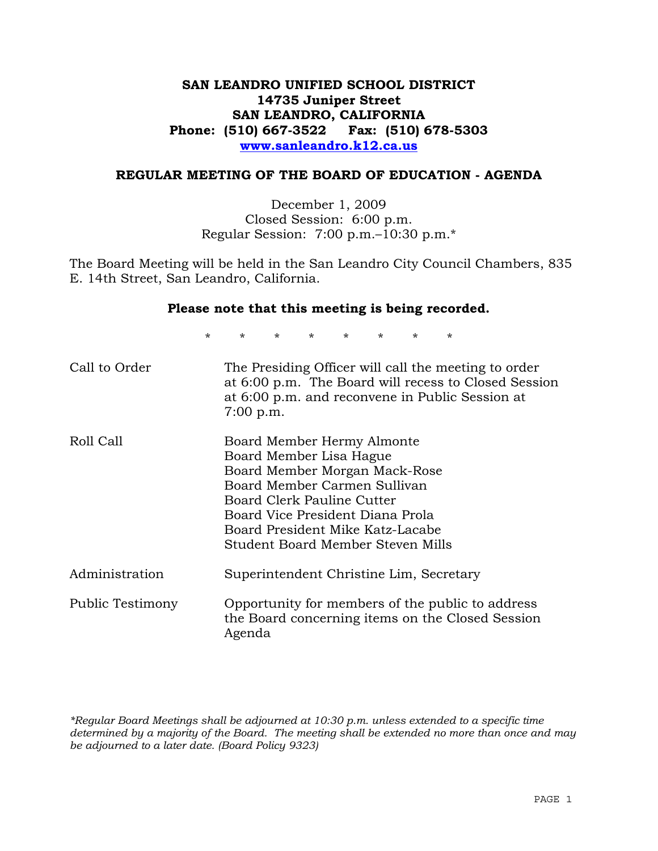## **SAN LEANDRO UNIFIED SCHOOL DISTRICT 14735 Juniper Street SAN LEANDRO, CALIFORNIA Phone: (510) 667-3522 Fax: (510) 678-5303 www.sanleandro.k12.ca.us**

#### **REGULAR MEETING OF THE BOARD OF EDUCATION - AGENDA**

December 1, 2009 Closed Session: 6:00 p.m. Regular Session: 7:00 p.m.–10:30 p.m.\*

The Board Meeting will be held in the San Leandro City Council Chambers, 835 E. 14th Street, San Leandro, California.

#### **Please note that this meeting is being recorded.**

\* \* \* \* \* \* \* \*

| Call to Order    | The Presiding Officer will call the meeting to order<br>at 6:00 p.m. The Board will recess to Closed Session<br>at 6:00 p.m. and reconvene in Public Session at<br>$7:00$ p.m.                                                                                    |
|------------------|-------------------------------------------------------------------------------------------------------------------------------------------------------------------------------------------------------------------------------------------------------------------|
| Roll Call        | Board Member Hermy Almonte<br>Board Member Lisa Hague<br>Board Member Morgan Mack-Rose<br>Board Member Carmen Sullivan<br>Board Clerk Pauline Cutter<br>Board Vice President Diana Prola<br>Board President Mike Katz-Lacabe<br>Student Board Member Steven Mills |
| Administration   | Superintendent Christine Lim, Secretary                                                                                                                                                                                                                           |
| Public Testimony | Opportunity for members of the public to address<br>the Board concerning items on the Closed Session<br>Agenda                                                                                                                                                    |

*\*Regular Board Meetings shall be adjourned at 10:30 p.m. unless extended to a specific time determined by a majority of the Board. The meeting shall be extended no more than once and may be adjourned to a later date. (Board Policy 9323)*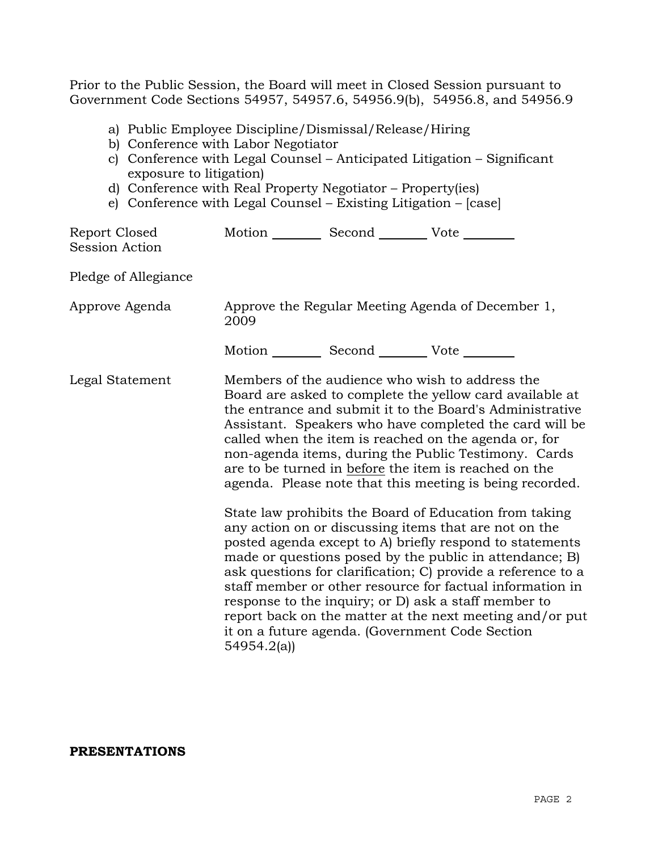Prior to the Public Session, the Board will meet in Closed Session pursuant to Government Code Sections 54957, 54957.6, 54956.9(b), 54956.8, and 54956.9

- a) Public Employee Discipline/Dismissal/Release/Hiring
- b) Conference with Labor Negotiator
- c) Conference with Legal Counsel Anticipated Litigation Significant exposure to litigation)
- d) Conference with Real Property Negotiator Property(ies)
- e) Conference with Legal Counsel Existing Litigation [case]

| Report Closed<br>Session Action | Motion __________ Second __________ Vote ________ |                                                                                                                                                                                                                                                                                                                                                                                                                                                                                                                                    |
|---------------------------------|---------------------------------------------------|------------------------------------------------------------------------------------------------------------------------------------------------------------------------------------------------------------------------------------------------------------------------------------------------------------------------------------------------------------------------------------------------------------------------------------------------------------------------------------------------------------------------------------|
| Pledge of Allegiance            |                                                   |                                                                                                                                                                                                                                                                                                                                                                                                                                                                                                                                    |
| Approve Agenda                  | 2009                                              | Approve the Regular Meeting Agenda of December 1,                                                                                                                                                                                                                                                                                                                                                                                                                                                                                  |
|                                 | Motion __________ Second __________ Vote ________ |                                                                                                                                                                                                                                                                                                                                                                                                                                                                                                                                    |
| Legal Statement                 |                                                   | Members of the audience who wish to address the<br>Board are asked to complete the yellow card available at<br>the entrance and submit it to the Board's Administrative<br>Assistant. Speakers who have completed the card will be<br>called when the item is reached on the agenda or, for<br>non-agenda items, during the Public Testimony. Cards<br>are to be turned in before the item is reached on the<br>agenda. Please note that this meeting is being recorded.<br>State law prohibits the Board of Education from taking |
|                                 | 54954.2(a)                                        | any action on or discussing items that are not on the<br>posted agenda except to A) briefly respond to statements<br>made or questions posed by the public in attendance; B)<br>ask questions for clarification; C) provide a reference to a<br>staff member or other resource for factual information in<br>response to the inquiry; or D) ask a staff member to<br>report back on the matter at the next meeting and/or put<br>it on a future agenda. (Government Code Section                                                   |

#### **PRESENTATIONS**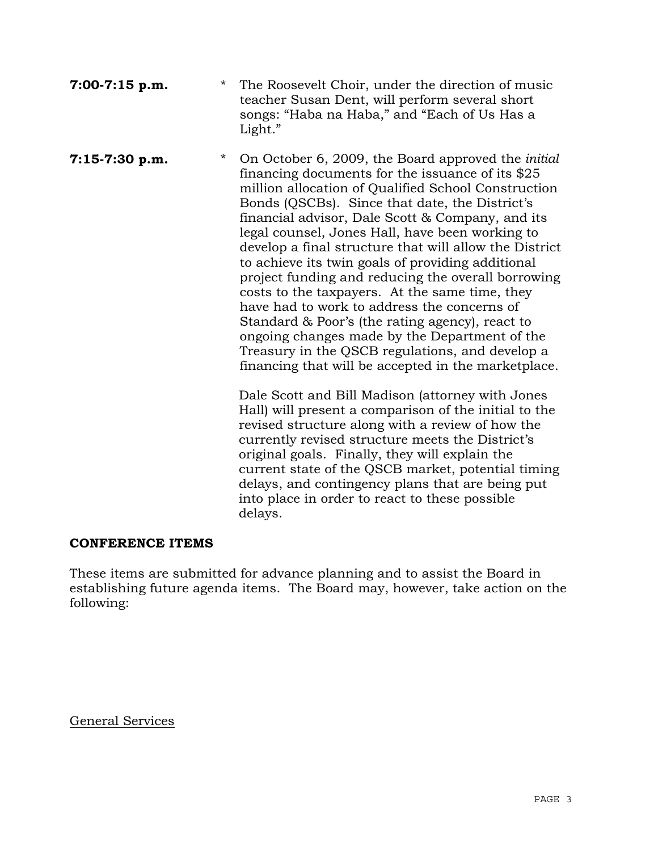| $7:00-7:15$ p.m. | * The Roosevelt Choir, under the direction of music |
|------------------|-----------------------------------------------------|
|                  | teacher Susan Dent, will perform several short      |
|                  | songs: "Haba na Haba," and "Each of Us Has a        |
|                  | Light."                                             |

**7:15-7:30 p.m.** \* On October 6, 2009, the Board approved the *initial*  financing documents for the issuance of its \$25 million allocation of Qualified School Construction Bonds (QSCBs). Since that date, the District's financial advisor, Dale Scott & Company, and its legal counsel, Jones Hall, have been working to develop a final structure that will allow the District to achieve its twin goals of providing additional project funding and reducing the overall borrowing costs to the taxpayers. At the same time, they have had to work to address the concerns of Standard & Poor's (the rating agency), react to ongoing changes made by the Department of the Treasury in the QSCB regulations, and develop a financing that will be accepted in the marketplace.

> Dale Scott and Bill Madison (attorney with Jones Hall) will present a comparison of the initial to the revised structure along with a review of how the currently revised structure meets the District's original goals. Finally, they will explain the current state of the QSCB market, potential timing delays, and contingency plans that are being put into place in order to react to these possible delays.

## **CONFERENCE ITEMS**

These items are submitted for advance planning and to assist the Board in establishing future agenda items. The Board may, however, take action on the following:

General Services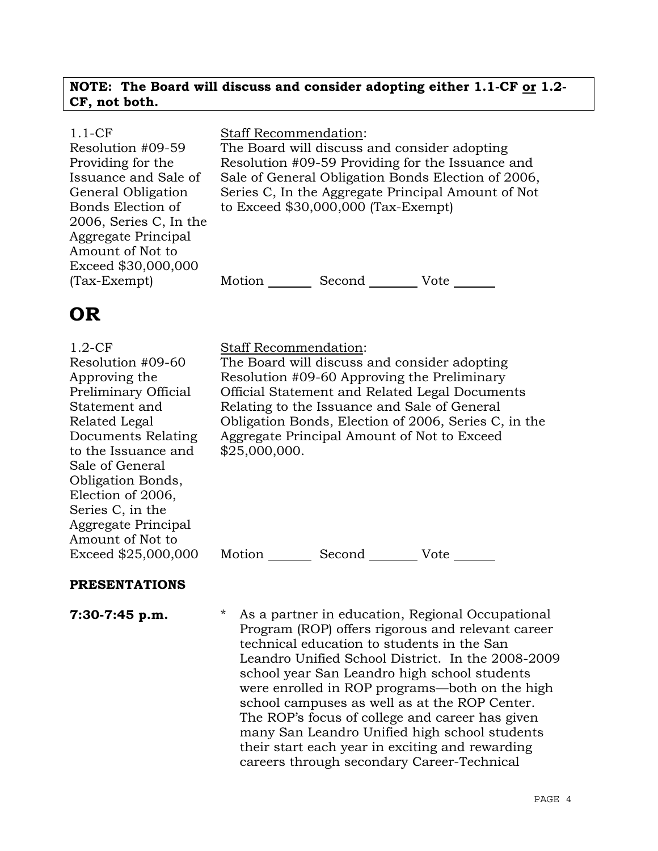## **NOTE: The Board will discuss and consider adopting either 1.1-CF or 1.2- CF, not both.**

| $1.1-CF$               | <b>Staff Recommendation:</b> |                                              |                                                    |
|------------------------|------------------------------|----------------------------------------------|----------------------------------------------------|
| Resolution #09-59      |                              | The Board will discuss and consider adopting |                                                    |
| Providing for the      |                              |                                              | Resolution #09-59 Providing for the Issuance and   |
| Issuance and Sale of   |                              |                                              | Sale of General Obligation Bonds Election of 2006, |
| General Obligation     |                              |                                              | Series C, In the Aggregate Principal Amount of Not |
| Bonds Election of      |                              | to Exceed $$30,000,000$ (Tax-Exempt)         |                                                    |
| 2006, Series C, In the |                              |                                              |                                                    |
| Aggregate Principal    |                              |                                              |                                                    |
| Amount of Not to       |                              |                                              |                                                    |
| Exceed \$30,000,000    |                              |                                              |                                                    |
| $(Tax-Exempt)$         | Motion                       | Second                                       | Vote                                               |
|                        |                              |                                              |                                                    |

# **OR**

1.2-CF Resolution #09-60 Approving the Preliminary Official Statement and Related Legal Documents Relating to the Issuance and Sale of General Obligation Bonds, Election of 2006, Series C, in the Aggregate Principal Amount of Not to Exceed \$25,000,000

## Staff Recommendation:

The Board will discuss and consider adopting Resolution #09-60 Approving the Preliminary Official Statement and Related Legal Documents Relating to the Issuance and Sale of General Obligation Bonds, Election of 2006, Series C, in the Aggregate Principal Amount of Not to Exceed \$25,000,000.

Motion Second Vote

# **PRESENTATIONS**

**7:30-7:45 p.m.** \* As a partner in education, Regional Occupational Program (ROP) offers rigorous and relevant career technical education to students in the San Leandro Unified School District. In the 2008-2009 school year San Leandro high school students were enrolled in ROP programs—both on the high school campuses as well as at the ROP Center. The ROP's focus of college and career has given many San Leandro Unified high school students their start each year in exciting and rewarding careers through secondary Career-Technical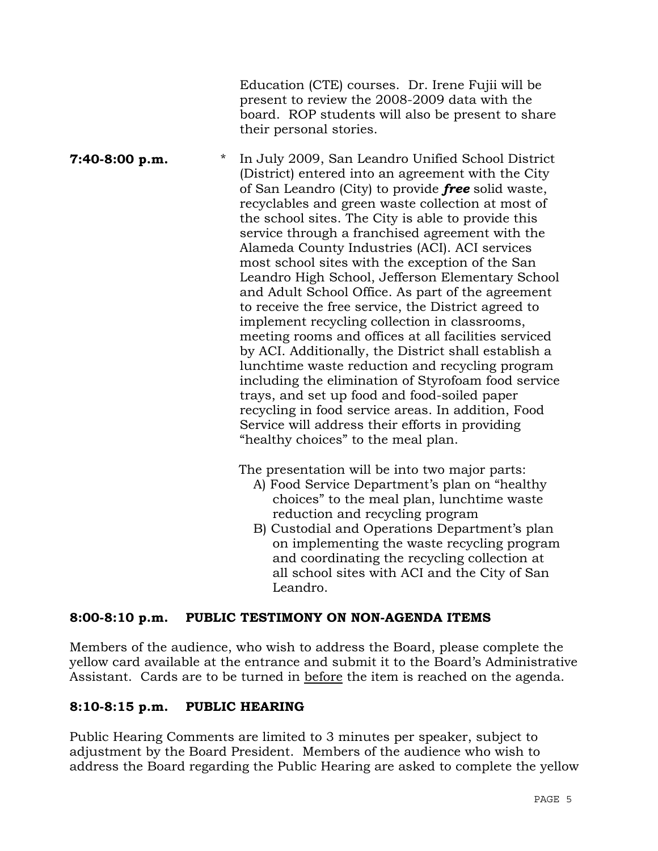Education (CTE) courses. Dr. Irene Fujii will be present to review the 2008-2009 data with the board. ROP students will also be present to share their personal stories. **7:40-8:00 p.m.** \* In July 2009, San Leandro Unified School District (District) entered into an agreement with the City of San Leandro (City) to provide *free* solid waste, recyclables and green waste collection at most of the school sites. The City is able to provide this service through a franchised agreement with the Alameda County Industries (ACI). ACI services most school sites with the exception of the San Leandro High School, Jefferson Elementary School and Adult School Office. As part of the agreement to receive the free service, the District agreed to implement recycling collection in classrooms, meeting rooms and offices at all facilities serviced by ACI. Additionally, the District shall establish a lunchtime waste reduction and recycling program including the elimination of Styrofoam food service trays, and set up food and food-soiled paper

recycling in food service areas. In addition, Food Service will address their efforts in providing "healthy choices" to the meal plan.

The presentation will be into two major parts:

- A) Food Service Department's plan on "healthy choices" to the meal plan, lunchtime waste reduction and recycling program
- B) Custodial and Operations Department's plan on implementing the waste recycling program and coordinating the recycling collection at all school sites with ACI and the City of San Leandro.

# **8:00-8:10 p.m. PUBLIC TESTIMONY ON NON-AGENDA ITEMS**

Members of the audience, who wish to address the Board, please complete the yellow card available at the entrance and submit it to the Board's Administrative Assistant. Cards are to be turned in before the item is reached on the agenda.

# **8:10-8:15 p.m. PUBLIC HEARING**

Public Hearing Comments are limited to 3 minutes per speaker, subject to adjustment by the Board President. Members of the audience who wish to address the Board regarding the Public Hearing are asked to complete the yellow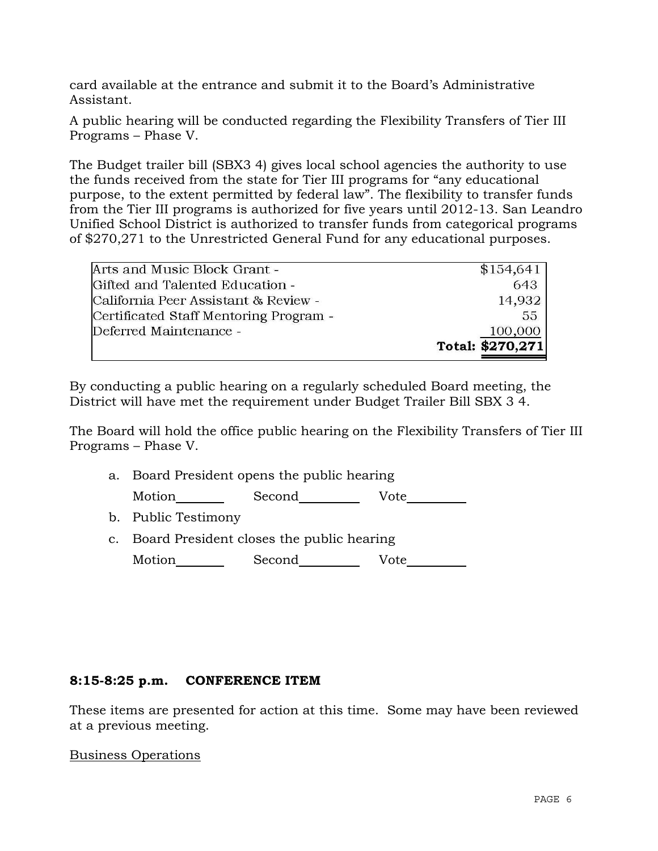card available at the entrance and submit it to the Board's Administrative Assistant.

A public hearing will be conducted regarding the Flexibility Transfers of Tier III Programs – Phase V.

The Budget trailer bill (SBX3 4) gives local school agencies the authority to use the funds received from the state for Tier III programs for "any educational purpose, to the extent permitted by federal law". The flexibility to transfer funds from the Tier III programs is authorized for five years until 2012-13. San Leandro Unified School District is authorized to transfer funds from categorical programs of \$270,271 to the Unrestricted General Fund for any educational purposes.

| Arts and Music Block Grant -           | \$154,641        |
|----------------------------------------|------------------|
| Gifted and Talented Education -        | 643              |
| California Peer Assistant & Review -   | 14.932           |
| Certificated Staff Mentoring Program - | 55               |
| Deferred Maintenance -                 | 100,000          |
|                                        | Total: \$270,271 |

By conducting a public hearing on a regularly scheduled Board meeting, the District will have met the requirement under Budget Trailer Bill SBX 3 4.

The Board will hold the office public hearing on the Flexibility Transfers of Tier III Programs – Phase V.

a. Board President opens the public hearing

Motion Second Vote

- b. Public Testimony
- c. Board President closes the public hearing

Motion Second Vote

## **8:15-8:25 p.m. CONFERENCE ITEM**

These items are presented for action at this time. Some may have been reviewed at a previous meeting.

#### Business Operations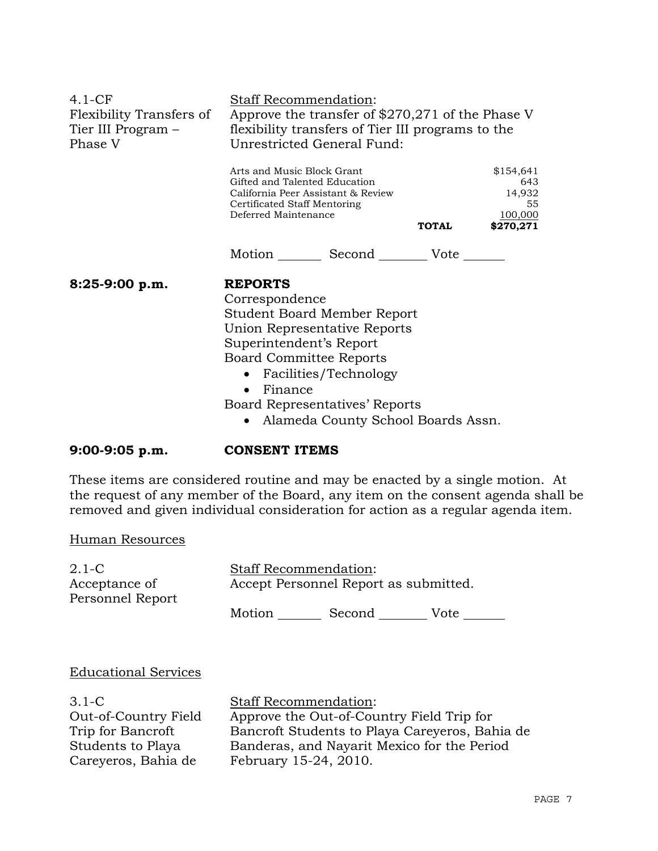| $4.1-CF$<br>Flexibility Transfers of<br>Tier III Program –<br>Phase V | Staff Recommendation:<br>Approve the transfer of \$270,271 of the Phase V<br>flexibility transfers of Tier III programs to the<br>Unrestricted General Fund:                                                                                                                            |  |  |
|-----------------------------------------------------------------------|-----------------------------------------------------------------------------------------------------------------------------------------------------------------------------------------------------------------------------------------------------------------------------------------|--|--|
|                                                                       | Arts and Music Block Grant<br>\$154,641<br>Gifted and Talented Education<br>643<br>14,932<br>California Peer Assistant & Review<br>Certificated Staff Mentoring<br>55<br>Deferred Maintenance<br>100,000<br><b>TOTAL</b><br>\$270,271                                                   |  |  |
|                                                                       | Motion Second Vote                                                                                                                                                                                                                                                                      |  |  |
| $8:25-9:00 p.m.$                                                      | <b>REPORTS</b><br>Correspondence<br>Student Board Member Report<br>Union Representative Reports<br>Superintendent's Report<br><b>Board Committee Reports</b><br>Facilities/Technology<br>Finance<br>$\bullet$<br>Board Representatives' Reports<br>• Alameda County School Boards Assn. |  |  |

**9:00-9:05 p.m. CONSENT ITEMS** 

These items are considered routine and may be enacted by a single motion. At the request of any member of the Board, any item on the consent agenda shall be removed and given individual consideration for action as a regular agenda item.

Human Resources

| 2.1-C                             |        | <b>Staff Recommendation:</b>          |      |  |
|-----------------------------------|--------|---------------------------------------|------|--|
| Acceptance of<br>Personnel Report |        | Accept Personnel Report as submitted. |      |  |
|                                   | Motion | Second                                | Vote |  |
|                                   |        |                                       |      |  |

#### Educational Services

3.1-C Out-of-Country Field Trip for Bancroft Students to Playa Careyeros, Bahia de

Staff Recommendation: Approve the Out-of-Country Field Trip for Bancroft Students to Playa Careyeros, Bahia de Banderas, and Nayarit Mexico for the Period February 15-24, 2010.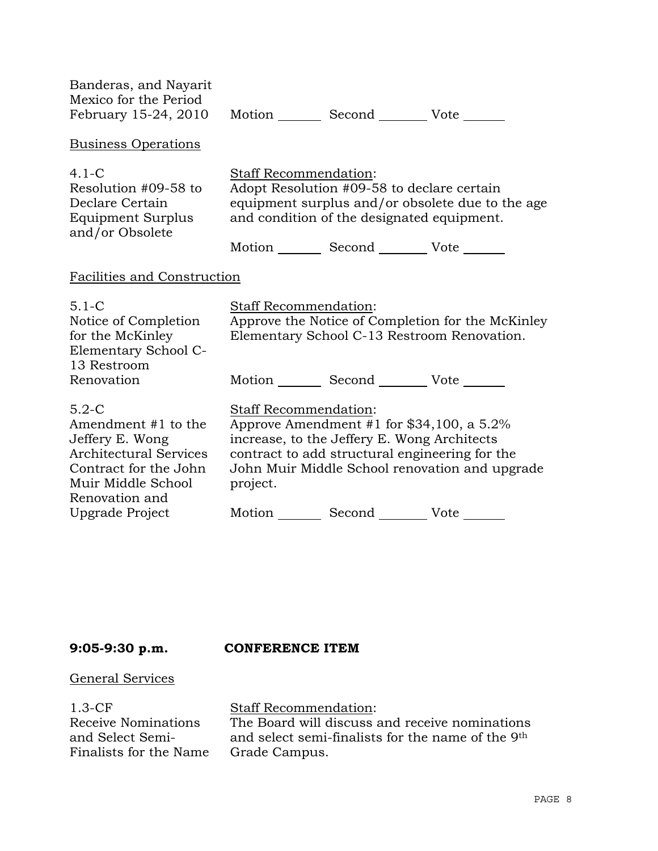| <b>Business Operations</b><br>$4.1 - C$<br>Staff Recommendation:<br>Adopt Resolution #09-58 to declare certain<br>Resolution #09-58 to<br>Declare Certain<br>equipment surplus and/or obsolete due to the age<br>and condition of the designated equipment.<br>Equipment Surplus<br>and/or Obsolete<br>Motion _________ Second __________ Vote _______<br>Facilities and Construction<br>$5.1 - C$<br><b>Staff Recommendation:</b><br>Approve the Notice of Completion for the McKinley<br>Notice of Completion<br>for the McKinley<br>Elementary School C-13 Restroom Renovation.<br>Elementary School C-<br>13 Restroom<br>Motion _________ Second __________ Vote _______<br>Renovation<br>$5.2-C$<br>Staff Recommendation:<br>Approve Amendment #1 for $$34,100$ , a $5.2\%$<br>Amendment #1 to the |  |
|---------------------------------------------------------------------------------------------------------------------------------------------------------------------------------------------------------------------------------------------------------------------------------------------------------------------------------------------------------------------------------------------------------------------------------------------------------------------------------------------------------------------------------------------------------------------------------------------------------------------------------------------------------------------------------------------------------------------------------------------------------------------------------------------------------|--|
|                                                                                                                                                                                                                                                                                                                                                                                                                                                                                                                                                                                                                                                                                                                                                                                                         |  |
|                                                                                                                                                                                                                                                                                                                                                                                                                                                                                                                                                                                                                                                                                                                                                                                                         |  |
|                                                                                                                                                                                                                                                                                                                                                                                                                                                                                                                                                                                                                                                                                                                                                                                                         |  |
|                                                                                                                                                                                                                                                                                                                                                                                                                                                                                                                                                                                                                                                                                                                                                                                                         |  |
| Jeffery E. Wong<br>increase, to the Jeffery E. Wong Architects<br><b>Architectural Services</b><br>contract to add structural engineering for the<br>Contract for the John<br>John Muir Middle School renovation and upgrade<br>Muir Middle School<br>project.<br>Renovation and                                                                                                                                                                                                                                                                                                                                                                                                                                                                                                                        |  |
| Motion _________ Second __________ Vote _______<br>Upgrade Project                                                                                                                                                                                                                                                                                                                                                                                                                                                                                                                                                                                                                                                                                                                                      |  |

## **9:05-9:30 p.m. CONFERENCE ITEM**

## General Services

1.3-CF Receive Nominations and Select Semi-Finalists for the Name

## Staff Recommendation:

The Board will discuss and receive nominations and select semi-finalists for the name of the 9th Grade Campus.